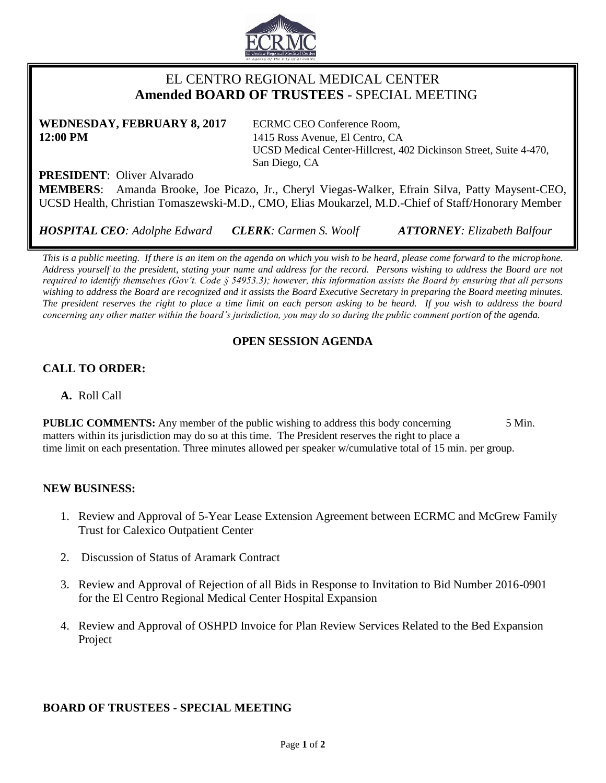

# EL CENTRO REGIONAL MEDICAL CENTER  **Amended BOARD OF TRUSTEES** - SPECIAL MEETING

**WEDNESDAY, FEBRUARY 8, 2017** ECRMC CEO Conference Room, **12:00 PM** 1415 Ross Avenue, El Centro, CA

UCSD Medical Center-Hillcrest, 402 Dickinson Street, Suite 4-470, San Diego, CA

**PRESIDENT**: Oliver Alvarado

**MEMBERS**: Amanda Brooke, Joe Picazo, Jr., Cheryl Viegas-Walker, Efrain Silva, Patty Maysent-CEO, UCSD Health, Christian Tomaszewski-M.D., CMO, Elias Moukarzel, M.D.-Chief of Staff/Honorary Member

*HOSPITAL CEO: Adolphe Edward CLERK: Carmen S. Woolf ATTORNEY: Elizabeth Balfour*

*This is a public meeting. If there is an item on the agenda on which you wish to be heard, please come forward to the microphone. Address yourself to the president, stating your name and address for the record. Persons wishing to address the Board are not required to identify themselves (Gov't. Code § 54953.3); however, this information assists the Board by ensuring that all persons wishing to address the Board are recognized and it assists the Board Executive Secretary in preparing the Board meeting minutes. The president reserves the right to place a time limit on each person asking to be heard. If you wish to address the board concerning any other matter within the board's jurisdiction, you may do so during the public comment portion of the agenda.*

## **OPEN SESSION AGENDA**

## **CALL TO ORDER:**

**A.** Roll Call

**PUBLIC COMMENTS:** Any member of the public wishing to address this body concerning 5 Min. matters within its jurisdiction may do so at this time. The President reserves the right to place a time limit on each presentation. Three minutes allowed per speaker w/cumulative total of 15 min. per group.

#### **NEW BUSINESS:**

- 1. Review and Approval of 5-Year Lease Extension Agreement between ECRMC and McGrew Family Trust for Calexico Outpatient Center
- 2. Discussion of Status of Aramark Contract
- 3. Review and Approval of Rejection of all Bids in Response to Invitation to Bid Number 2016-0901 for the El Centro Regional Medical Center Hospital Expansion
- 4. Review and Approval of OSHPD Invoice for Plan Review Services Related to the Bed Expansion Project

#### **BOARD OF TRUSTEES - SPECIAL MEETING**